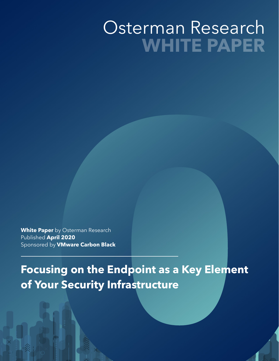# Osterman Research **WHITE PAPER**

**White Paper** by Osterman Research Published **April 2020**  Sponsored by **VMware Carbon Black** 

**Example Seconds Research**<br>pril 2020<br>Jy VMware Carbon Black<br>ing on the Endpoint as a Key Element<br>ur Security Infrastructure **Focusing on the Endpoint as a Key Element of Your Security Infrastructure**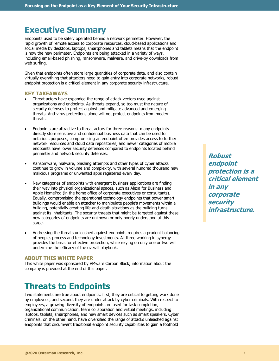# **Executive Summary**

Endpoints used to be safely operated behind a network perimeter. However, the rapid growth of remote access to corporate resources, cloud-based applications and social media by desktops, laptops, smartphones and tablets means that the endpoint is now the new perimeter. Endpoints are being attacked in a variety of ways, including email-based phishing, ransomware, malware, and drive-by downloads from web surfing.

Given that endpoints often store large quantities of corporate data, and also contain virtually everything that attackers need to gain entry into corporate networks, robust endpoint protection is a critical element in any corporate security infrastructure.

# **KEY TAKEAWAYS**

- Threat actors have expanded the range of attack vectors used against organizations and endpoints. As threats expand, so too must the nature of security defenses to protect against and mitigate advanced and emerging threats. Anti-virus protections alone will not protect endpoints from modern threats.
- Endpoints are attractive to threat actors for three reasons: many endpoints directly store sensitive and confidential business data that can be used for nefarious purposes, compromising an endpoint often provides access to further network resources and cloud data repositories, and newer categories of mobile endpoints have lower security defenses compared to endpoints located behind perimeter and network security defenses.
- Ransomware, malware, phishing attempts and other types of cyber attacks continue to grow in volume and complexity, with several hundred thousand new malicious programs or unwanted apps registered every day.
- New categories of endpoints with emergent business applications are finding their way into physical organizational spaces, such as Alexa for Business and Apple HomePod (in the home office of corporate executives or consultants). Equally, compromising the operational technology endpoints that power smart buildings would enable an attacker to manipulate people's movements within a building, potentially creating life-and-death situations as the building turns against its inhabitants. The security threats that might be targeted against these new categories of endpoints are unknown or only poorly understood at this stage.
- Addressing the threats unleashed against endpoints requires a prudent balancing of people, process and technology investments. All three working in synergy provides the basis for effective protection, while relying on only one or two will undermine the efficacy of the overall playbook.

### **ABOUT THIS WHITE PAPER**

This white paper was sponsored by VMware Carbon Black; information about the company is provided at the end of this paper.

# **Threats to Endpoints**

Two statements are true about endpoints: first, they are critical to getting work done by employees, and second, they are under attack by cyber criminals. With respect to employees, a growing diversity of endpoints are used for task completion, organizational communication, team collaboration and virtual meetings, including laptops, tablets, smartphones, and new smart devices such as smart speakers. Cyber criminals, on the other hand, have diversified the range of attacks unleashed against endpoints that circumvent traditional endpoint security capabilities to gain a foothold

**Robust endpoint protection is a critical element in any corporate security infrastructure.**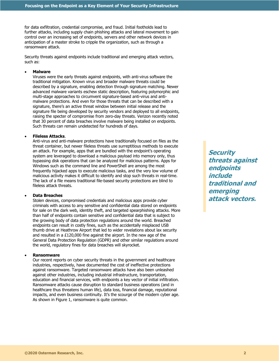for data exfiltration, credential compromise, and fraud. Initial footholds lead to further attacks, including supply chain phishing attacks and lateral movement to gain control over an increasing set of endpoints, servers and other network devices in anticipation of a master stroke to cripple the organization, such as through a ransomware attack.

Security threats against endpoints include traditional and emerging attack vectors, such as:

#### • **Malware**

Viruses were the early threats against endpoints, with anti-virus software the traditional mitigation. Known virus and broader malware threats could be described by a signature, enabling detection through signature matching. Newer advanced malware variants eschew static description, featuring polymorphic and multi-stage approaches to circumvent signature-based anti-virus and antimalware protections. And even for those threats that can be described with a signature, there's an active threat window between initial release and the signature file being developed by security vendors and deployed to all endpoints, raising the specter of compromise from zero-day threats. Verizon recently noted that 30 percent of data breaches involve malware being installed on endpoints. Such threats can remain undetected for hundreds of days.

#### • **Fileless Attacks**.

Anti-virus and anti-malware protections have traditionally focused on files as the threat container, but newer fileless threats use surreptitious methods to execute an attack. For example, apps that are bundled with the endpoint's operating system are leveraged to download a malicious payload into memory only, thus bypassing disk operations that can be analyzed for malicious patterns. Apps for Windows such as the command line and PowerShell are among the most frequently hijacked apps to execute malicious tasks, and the very low volume of malicious activity makes it difficult to identify and stop such threats in real-time. The lack of a file means traditional file-based security protections are blind to fileless attack threats.

# • **Data Breaches**

Stolen devices, compromised credentials and malicious apps provide cyber criminals with access to any sensitive and confidential data stored on endpoints for sale on the dark web, identity theft, and targeted spearphishing attacks. More than half of endpoints contain sensitive and confidential data that is subject to the growing body of data protection regulations around the world. Breached endpoints can result in costly fines, such as the accidentally misplaced USB thumb drive at Heathrow Airport that led to wider revelations about lax security and resulted in a £120,000 fine against the airport. In the new age of the General Data Protection Regulation (GDPR) and other similar regulations around the world, regulatory fines for data breaches will skyrocket.

# • **Ransomware**

Our recent reports on cyber security threats in the government and healthcare industries, respectively, have documented the cost of ineffective protections against ransomware. Targeted ransomware attacks have also been unleashed against other industries, including industrial infrastructure, transportation, education and financial services, with endpoints a key vector of initial infiltration. Ransomware attacks cause disruption to standard business operations (and in healthcare thus threatens human life), data loss, financial damage, reputational impacts, and even business continuity. It's the scourge of the modern cyber age. As shown in Figure 1, ransomware is quite common.

**Security threats against endpoints include traditional and emerging attack vectors.**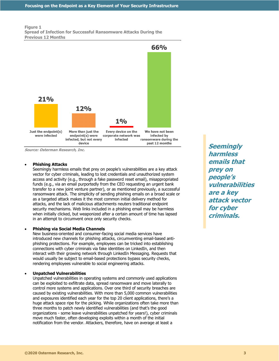#### **Figure 1 Spread of Infection for Successful Ransomware Attacks During the Previous 12 Months**



**Source: Osterman Research, Inc.**

#### • **Phishing Attacks**

Seemingly harmless emails that prey on people's vulnerabilities are a key attack vector for cyber criminals, leading to lost credentials and unauthorized system access and activity (e.g., through a fake password reset email), misappropriated funds (e.g., via an email purportedly from the CEO requesting an urgent bank transfer to a new joint venture partner), or as mentioned previously, a successful ransomware attack. The simplicity of sending phishing emails on a broad scale or as a targeted attack makes it the most common initial delivery method for attacks, and the lack of malicious attachments neuters traditional endpoint security mechanisms. Web links included in a phishing email may be harmless when initially clicked, but weaponized after a certain amount of time has lapsed in an attempt to circumvent once only security checks.

### • **Phishing via Social Media Channels**

New business-oriented and consumer-facing social media services have introduced new channels for phishing attacks, circumventing email-based antiphishing protections. For example, employees can be tricked into establishing connections with cyber criminals via fake identities on LinkedIn, and then interact with their growing network through LinkedIn Messaging. Requests that would usually be subject to email-based protections bypass security checks, rendering employees vulnerable to social engineering attacks.

### • **Unpatched Vulnerabilities**

Unpatched vulnerabilities in operating systems and commonly used applications can be exploited to exfiltrate data, spread ransomware and move laterally to control more systems and applications. Over one third of security breaches are caused by existing vulnerabilities. With more than 5,000 common vulnerabilities and exposures identified each year for the top 20 client applications, there's a huge attack space ripe for the picking. While organizations often take more than three months to patch newly identified vulnerabilities (and that's the good organizations - some leave vulnerabilities unpatched for years!), cyber criminals move much faster, often developing exploits within a month of the initial notification from the vendor. Attackers, therefore, have on average at least a

**Seemingly harmless emails that prey on people's vulnerabilities are a key attack vector for cyber criminals.**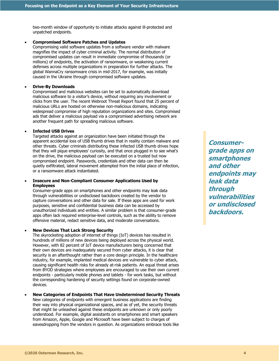two-month window of opportunity to initiate attacks against ill-protected and unpatched endpoints.

#### • **Compromised Software Patches and Updates**

Compromising valid software updates from a software vendor with malware magnifies the impact of cyber criminal activity. The normal distribution of compromised updates can result in immediate compromise of thousands (or millions) of endpoints, the activation of ransomware, or weakening current defenses across multiple organizations in preparation for further attacks. The global WannaCry ransomware crisis in mid-2017, for example, was initially caused in the Ukraine through compromised software updates.

#### • **Drive-By Downloads**

Compromised and malicious websites can be set to automatically download malicious software to a visitor's device, without requiring any involvement or clicks from the user. The recent Webroot Threat Report found that 25 percent of malicious URLs are hosted on otherwise non-malicious domains, indicating widespread compromise of high reputation organizations and sites. Compromised ads that deliver a malicious payload via a compromised advertising network are another frequent path for spreading malicious software.

#### • **Infected USB Drives**

Targeted attacks against an organization have been initiated through the apparent accidental loss of USB thumb drives that in reality contain malware and other threats. Cyber criminals distributing these infected USB thumb drives hope that they will pique employees' curiosity, and that once plugged in to see what's on the drive, the malicious payload can be executed on a trusted but now compromised endpoint. Passwords, credentials and other data can then be quietly exfiltrated, lateral movement attempted from the initial place of infection, or a ransomware attack instantiated.

# • **Insecure and Non-Compliant Consumer Applications Used by Employees**

Consumer-grade apps on smartphones and other endpoints may leak data through vulnerabilities or undisclosed backdoors created by the vendor to capture conversations and other data for sale. If these apps are used for work purposes, sensitive and confidential business data can be accessed by unauthorized individuals and entities. A similar problem is that consumer-grade apps often lack required enterprise-level controls, such as the ability to remove offensive material, redact sensitive data, and moderate conversations.

### • **New Devices That Lack Strong Security**

The skyrocketing adoption of internet of things (IoT) devices has resulted in hundreds of millions of new devices being deployed across the physical world. However, with 82 percent of IoT device manufacturers being concerned that their own devices are inadequately secured from cyber attacks, it is clear that security is an afterthought rather than a core design principle. In the healthcare industry, for example, implanted medical devices are vulnerable to cyber attack, causing significant health risks for already at-risk patients. An equal threat arises from BYOD strategies where employees are encouraged to use their own current endpoints - particularly mobile phones and tablets - for work tasks, but without the corresponding hardening of security settings found on corporate-owned devices.

### • **New Categories of Endpoints That Have Undetermined Security Threats**

New categories of endpoints with emergent business applications are finding their way into physical organizational spaces, and as of yet, the security threats that might be unleashed against these endpoints are unknown or only poorly understood. For example, digital assistants on smartphones and smart speakers from Amazon, Apple, Google and Microsoft have been subject to charges of eavesdropping from the vendors in question. As organizations embrace tools like

**Consumergrade apps on smartphones and other endpoints may leak data through vulnerabilities or undisclosed backdoors.**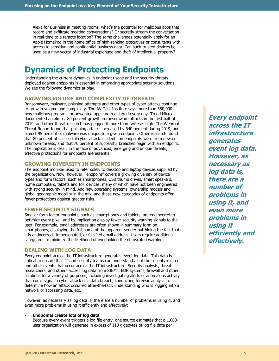Alexa for Business in meeting rooms, what's the potential for malicious apps that record and exfiltrate meeting conversations? Or secretly stream the conversation in real-time to a remote location? The same challenges potentially apply for an Apple HomePod in the home office of high-ranking executives or consultants with access to sensitive and confidential business data. Can such trusted devices be used as a new vector of industrial espionage and theft of intellectual property?

# **Dynamics of Protecting Endpoints**

Understanding the current dynamics in endpoint usage and the security threats deployed against endpoints is essential in embracing appropriate security solutions. We see the following dynamics at play.

# **GROWING VOLUME AND COMPLEXITY OF THREATS**

Ransomware, malware, phishing attempts and other types of cyber attacks continue to grow in volume and complexity. The AV-Test Institute says more than 350,000 new malicious programs or unwanted apps are registered every day. Trend Micro documented an almost 80 percent growth in ransomware attacks in the first half of 2019, and other threat research has pegged it more than twice as high. The Webroot Threat Report found that phishing attacks increased by 640 percent during 2019, and almost 95 percent of malware was unique to a given endpoint. Other research found that 80 percent of successful cyber attack incidents on endpoints were from new or unknown threats, and that 70 percent of successful breaches begin with an endpoint. The implication is clear: in the face of advanced, emerging and unique threats, effective protections for endpoints are essential.

# **GROWING DIVERSITY IN ENDPOINTS**

The endpoint moniker used to refer solely to desktop and laptop devices supplied by the organization. Now, however, "endpoint" covers a growing diversity of device types and form factors, such as smartphones, USB thumb drives, smart speakers, home computers, tablets and IoT devices, many of which have not been engineered with strong security in mind. Add new operating systems, ownership models and global geographic mobility in the mix, and these new categories of endpoints offer fewer protections against greater risks.

### **FEWER SECURITY SIGNALS**

Smaller form factor endpoints, such as smartphones and tablets, are engineered to optimize every pixel, and by implication display fewer security warning signals to the user. For example, email addresses are often shown in summary form on smartphones, displaying the full name of the apparent sender but hiding the fact that it is an incorrect, impersonated, or falsified email address. Users require additional safeguards to minimize the likelihood of overlooking the obfuscated warnings.

# **DEALING WITH LOG DATA**

Every endpoint across the IT infrastructure generates event log data. This data is critical to ensure that IT and security teams can understand all of the security-related and other events that occur across the IT infrastructure. Security analysts, threat researchers, and others access log data from SIEMs, EDR systems, firewall and other solutions for a variety of purposes, including investigating alerts of anomalous activity that could signal a cyber attack or a data breach, conducting forensic analysis to determine how an attack occurred after-the-fact, understanding who is logging into a network or accessing data, etc.

However, as necessary as log data is, there are a number of problems in using it, and even more problems in using it efficiently and effectively:

#### • **Endpoints create lots of log data**

Because every event triggers a log file entry, one source estimates that a 1,000 user organization will generate in excess of 110 gigabytes of log file data per

**Every endpoint across the IT infrastructure generates event log data. However, as necessary as log data is, there are a number of problems in using it, and even more problems in using it efficiently and effectively.**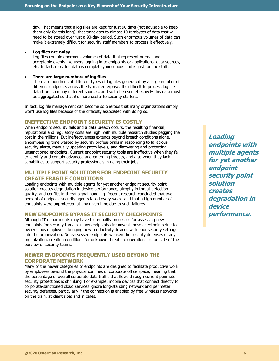day. That means that if log files are kept for just 90 days (not advisable to keep them only for this long), that translates to almost 10 terabytes of data that will need to be stored over just a 90-day period. Such enormous volumes of data can make it extremely difficult for security staff members to process it effectively.

### • **Log files are noisy**

Log files contain enormous volumes of data that represent normal and acceptable events like users logging in to endpoints or applications, data sources, etc. In fact, most log data is completely innocuous and is just routine stuff.

#### • **There are large numbers of log files**

There are hundreds of different types of log files generated by a large number of different endpoints across the typical enterprise. It's difficult to process log file data from so many different sources, and so to be used effectively this data must be aggregated so that it's more useful to security staffers.

In fact, log file management can become so onerous that many organizations simply won't use log files because of the difficulty associated with doing so.

#### **INEFFECTIVE ENDPOINT SECURITY IS COSTLY**

When endpoint security fails and a data breach occurs, the resulting financial, reputational and regulatory costs are high, with multiple research studies pegging the cost in the millions. But ineffectiveness extends beyond breach conditions alone, encompassing time wasted by security professionals in responding to fallacious security alerts, manually updating patch levels, and discovering and protecting unsanctioned endpoints. Current endpoint security tools are ineffective when they fail to identify and contain advanced and emerging threats, and also when they lack capabilities to support security professionals in doing their jobs.

# **MULTIPLE POINT SOLUTIONS FOR ENDPOINT SECURITY CREATE FRAGILE CONDITIONS**

Loading endpoints with multiple agents for yet another endpoint security point solution creates degradation in device performance, atrophy in threat detection quality, and conflict in threat signal handling. Recent research concluded that two percent of endpoint security agents failed every week, and that a high number of endpoints were unprotected at any given time due to such failures.

# **NEW ENDPOINTS BYPASS IT SECURITY CHECKPOINTS**

Although IT departments may have high-quality processes for assessing new endpoints for security threats, many endpoints circumvent these checkpoints due to overzealous employees bringing new productivity devices with poor security settings into the organization. Non-assessed endpoints weaken the security defenses of any organization, creating conditions for unknown threats to operationalize outside of the purview of security teams.

# **NEWER ENDPOINTS FREQUENTLY USED BEYOND THE CORPORATE NETWORK**

Many of the newer categories of endpoints are designed to facilitate productive work by employees beyond the physical confines of corporate office space, meaning that the percentage of overall corporate data traffic that flows through current perimeter security protections is shrinking. For example, mobile devices that connect directly to corporate-sanctioned cloud services ignore long-standing network and perimeter security defenses, particularly if the connection is enabled by free wireless networks on the train, at client sites and in cafes.

**Loading endpoints with multiple agents for yet another endpoint security point solution creates degradation in device performance.**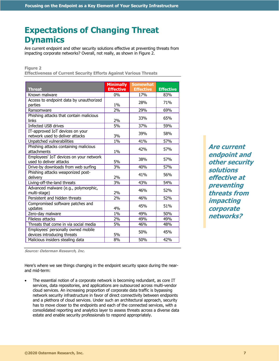# **Expectations of Changing Threat Dynamics**

Are current endpoint and other security solutions effective at preventing threats from impacting corporate networks? Overall, not really, as shown in Figure 2.

### **Figure 2**

**Effectiveness of Current Security Efforts Against Various Threats**

|                                         | <b>Minimally</b> | <b>Somewhat</b>  |                  |
|-----------------------------------------|------------------|------------------|------------------|
| Threat                                  | <b>Effective</b> | <b>Effective</b> | <b>Effective</b> |
| Known malware                           | $0\%$            | 17%              | 83%              |
| Access to endpoint data by unauthorized |                  | 28%              | 71%              |
| parties                                 | $1\%$            |                  |                  |
| Ransomware                              | $\frac{2\%}{\ }$ | 29%              | 69%              |
| Phishing attacks that contain malicious |                  | 33%              | 65%              |
| links                                   | 2%               |                  |                  |
| Infected USB drives                     | 5%               | 37%              | 59%              |
| IT-approved IoT devices on your         |                  | 39%              | 58%              |
| network used to deliver attacks         | 3%               |                  |                  |
| Unpatched vulnerabilities               | 1%               | 41%              | 57%              |
| Phishing attacks containing malicious   |                  | 42%              | 57%              |
| attachments                             | 1%               |                  |                  |
| Employees' IoT devices on your network  |                  | 38%              | 57%              |
| used to deliver attacks                 | 5%               |                  |                  |
| Drive-by downloads from web surfing     | 3%               | 40%              | 57%              |
| Phishing attacks weaponized post-       |                  | 41%              | 56%              |
| delivery                                | 2%               |                  |                  |
| Living-off-the-land threats             | $\overline{3}\%$ | 43%              | 54%              |
| Advanced malware (e.g., polymorphic,    |                  | 46%              | 52%              |
| multi-stage)                            | 2%               |                  |                  |
| Persistent and hidden threats           | $\frac{2\%}{\ }$ | 46%              | 52%              |
| Compromised software patches and        |                  | 45%              | 51%              |
| updates                                 | 4%               |                  |                  |
| Zero-day malware                        | 1%               | 49%              | 50%              |
| <b>Fileless attacks</b>                 | 2%               | 49%              | 49%              |
| Threats that come in via social media   | 5%               | 46%              | 48%              |
| Employees' personally owned mobile      |                  | 50%              | 45%              |
| devices introducing threats             | 5%               |                  |                  |
| Malicious insiders stealing data        | 8%               | 50%              | 42%              |

**Are current endpoint and other security solutions effective at preventing threats from impacting corporate networks?**

**Source: Osterman Research, Inc.**

Here's where we see things changing in the endpoint security space during the nearand mid-term:

The essential notion of a corporate network is becoming redundant, as core IT services, data repositories, and applications are outsourced across multi-vendor cloud services. An increasing proportion of corporate data traffic is bypassing network security infrastructure in favor of direct connectivity between endpoints and a plethora of cloud services. Under such an architectural approach, security has to move closer to the endpoints and each of the connected services, with a consolidated reporting and analytics layer to assess threats across a diverse data estate and enable security professionals to respond appropriately.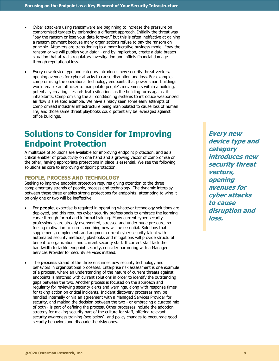- Cyber attackers using ransomware are beginning to increase the pressure on compromised targets by embracing a different approach. Initially the threat was "pay the ransom or lose your data forever," but this is often ineffective at gaining a ransom payment because many organizations refuse to pay the ransom on principle. Attackers are transitioning to a more lucrative business model: "pay the ransom or we will publish your data" - and by implication, create a data breach situation that attracts regulatory investigation and inflicts financial damage through reputational loss.
- Every new device type and category introduces new security threat vectors, opening avenues for cyber attacks to cause disruption and loss. For example, compromising the operational technology endpoints that power smart buildings would enable an attacker to manipulate people's movements within a building, potentially creating life-and-death situations as the building turns against its inhabitants. Compromising the air conditioning systems to introduce weaponized air flow is a related example. We have already seen some early attempts of compromised industrial infrastructure being manipulated to cause loss of human life, and those same threat playbooks could potentially be leveraged against office buildings.

# **Solutions to Consider for Improving Endpoint Protection**

A multitude of solutions are available for improving endpoint protection, and as a critical enabler of productivity on one hand and a growing vector of compromise on the other, having appropriate protections in place is essential. We see the following solutions as core to improving endpoint protection.

# **PEOPLE, PROCESS AND TECHNOLOGY**

Seeking to improve endpoint protection requires giving attention to the three complementary strands of people, process and technology. The dynamic interplay between these three enables strong protections for endpoints; attempting to wing it on only one or two will be ineffective.

- For **people**, expertise is required in operating whatever technology solutions are deployed, and this requires cyber security professionals to embrace the learning curve through formal and informal training. Many current cyber security professionals are already overworked, stressed and under huge pressure, so fueling motivation to learn something new will be essential. Solutions that supplement, complement, and augment current cyber security talent with automated security methods, playbooks and mitigations will provide structural benefit to organizations and current security staff. If current staff lack the bandwidth to tackle endpoint security, consider partnering with a Managed Services Provider for security services instead.
- The **process** strand of the three enshrines new security technology and behaviors in organizational processes. Enterprise risk assessment is one example of a process, where an understanding of the nature of current threats against endpoints is matched with current solutions in order to identify the outstanding gaps between the two. Another process is focused on the approach and regularity for reviewing security alerts and warnings, along with response times for taking action on critical incidents. Incident discovery processes may be handled internally or via an agreement with a Managed Services Provider for security, and making the decision between the two - or embracing a curated mix of both - is part of defining the process. Other processes include the adoption strategy for making security part of the culture for staff, offering relevant security awareness training (see below), and policy changes to encourage good security behaviors and dissuade the risky ones.

**Every new device type and category introduces new security threat vectors, opening avenues for cyber attacks to cause disruption and loss.**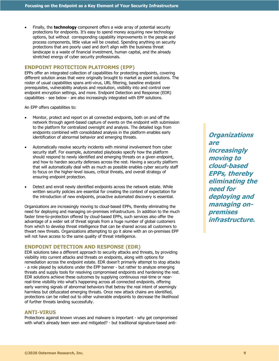• Finally, the **technology** component offers a wide array of potential security protections for endpoints. It's easy to spend money acquiring new technology options, but without corresponding capability improvements in the people and process components, little value will be created. Spending anything on security protections that are poorly used and don't align with the business threat landscape is a waste of financial investment, human capital, and the already stretched energy of cyber security professionals.

# **ENDPOINT PROTECTION PLATFORMS (EPP)**

EPPs offer an integrated collection of capabilities for protecting endpoints, covering different solution areas that were originally brought to market as point solutions. The roster of usual capabilities spans anti-virus, URL filtering, baseline endpoint prerequisites, vulnerability analysis and resolution, visibility into and control over endpoint encryption settings, and more. Endpoint Detection and Response (EDR) capabilities - see below - are also increasingly integrated with EPP solutions.

An EPP offers capabilities to:

- Monitor, protect and report on all connected endpoints, both on and off the network through agent-based capture of events on the endpoint with submission to the platform for centralized oversight and analysis. The detailed logs from endpoints combined with consolidated analysis in the platform enables early identification of abnormal behavior and emerging threats.
- Automatically resolve security incidents with minimal involvement from cyber security staff. For example, automated playbooks specify how the platform should respond to newly identified and emerging threats on a given endpoint, and how to harden security defenses across the rest. Having a security platform that will automatically deal with as much as possible enables cyber security staff to focus on the higher-level issues, critical threats, and overall strategy of ensuring endpoint protection.
- Detect and enroll newly identified endpoints across the network estate. While written security policies are essential for creating the context of expectation for the introduction of new endpoints, proactive automated discovery is essential.

Organizations are increasingly moving to cloud-based EPPs, thereby eliminating the need for deploying and managing on-premises infrastructure. In addition to the much faster time-to-protection offered by cloud-based EPPs, such services also offer the advantage of a wider set of threat signals from a huge number of global customers from which to develop threat intelligence that can be shared across all customers to thwart new threats. Organizations attempting to go it alone with an on-premises EPP will not have access to the same quality of threat intelligence.

### **ENDPOINT DETECTION AND RESPONSE (EDR)**

EDR solutions take a different approach to security attacks and threats, by providing visibility into current attacks and threats on endpoints, along with options for remediation across the endpoint estate. EDR doesn't primarily attempt to stop attacks - a role played by solutions under the EPP banner - but rather to analyze emerging threats and supply tools for resolving compromised endpoints and hardening the rest. EDR solutions achieve these outcomes by supplying continuous real-time or nearreal-time visibility into what's happening across all connected endpoints, offering early warning signals of abnormal behaviors that betray the real intent of seemingly harmless but obfuscated emerging threats. Once new attack chains are identified, protections can be rolled out to other vulnerable endpoints to decrease the likelihood of further threats landing successfully.

# **ANTI-VIRUS**

Protections against known viruses and malware is important - why get compromised with what's already been seen and mitigated? - but traditional signature-based anti-

**Organizations are increasingly moving to cloud-based EPPs, thereby eliminating the need for deploying and managing onpremises infrastructure.**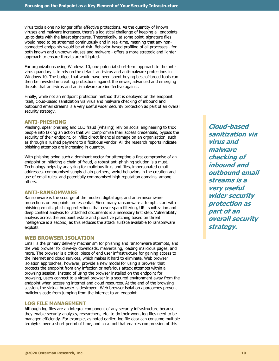virus tools alone no longer offer effective protections. As the quantity of known viruses and malware increases, there's a logistical challenge of keeping all endpoints up-to-date with the latest signatures. Theoretically, at some point, signature files would need to be streamed continuously and in real-time, meaning that any nonconnected endpoints would be at risk. Behavior-based profiling of all processes - for both known and unknown viruses and malware - offers a more strategic and lighter approach to ensure threats are mitigated.

For organizations using Windows 10, one potential short-term approach to the antivirus quandary is to rely on the default anti-virus and anti-malware protections in Windows 10. The budget that would have been spent buying best-of-breed tools can then be invested in creating protections against the newer, advanced and emerging threats that anti-virus and anti-malware are ineffective against.

Finally, while not an endpoint protection method that is deployed on the endpoint itself, cloud-based sanitization via virus and malware checking of inbound and outbound email streams is a very useful wider security protection as part of an overall security strategy.

#### **ANTI-PHISHING**

Phishing, spear phishing and CEO fraud (whaling) rely on social engineering to trick people into taking an action that will compromise their access credentials, bypass the security of their endpoint, or inflict direct financial damage on an organization, such as through a rushed payment to a fictitious vendor. All the research reports indicate phishing attempts are increasing in quantity.

With phishing being such a dominant vector for attempting a first compromise of an endpoint or initiating a chain of fraud, a robust anti-phishing solution is a must. Technology helps by analyzing for malicious links and files, impersonated email addresses, compromised supply chain partners, weird behaviors in the creation and use of email rules, and potentially compromised high reputation domains, among others.

#### **ANTI-RANSOMWARE**

Ransomware is the scourge of the modern digital age, and anti-ransomware protections on endpoints are essential. Since many ransomware attempts start with phishing emails, phishing protections that cover spam filtering, URL sanitization and deep content analysis for attached documents is a necessary first step. Vulnerability analysis across the endpoint estate and proactive patching based on threat intelligence is a second, as this reduces the attack surface available to ransomware exploits.

# **WEB BROWSER ISOLATION**

Email is the primary delivery mechanism for phishing and ransomware attempts, and the web browser for drive-by downloads, malvertising, loading malicious pages, and more. The browser is a critical piece of end user infrastructure for gaining access to the internet and cloud services, which makes it hard to eliminate. Web browser isolation approaches, however, provide a new model for using a browser that protects the endpoint from any infection or nefarious attack attempts within a browsing session. Instead of using the browser installed on the endpoint for browsing, users connect to a virtual browser in a secured environment away from the endpoint when accessing internet and cloud resources. At the end of the browsing session, the virtual browser is destroyed. Web browser isolation approaches prevent malicious code from jumping from the internet to an endpoint.

# **LOG FILE MANAGEMENT**

Although log files are an integral component of any security infrastructure because they enable security analysts, researchers, etc. to do their work, log files need to be managed efficiently. For example, as noted earlier, log file data can consume multiple terabytes over a short period of time, and so a tool that enables compression of this

**Cloud-based sanitization via virus and malware checking of inbound and outbound email streams is a very useful wider security protection as part of an overall security strategy.**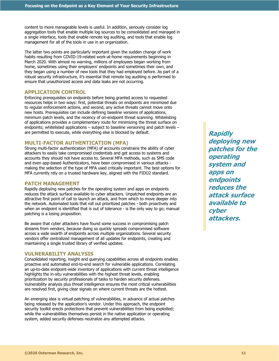content to more manageable levels is useful. In addition, seriously consider log aggregation tools that enable multiple log sources to be consolidated and managed in a single interface, tools that enable remote log auditing, and tools that enable log management for all of the tools in use in an organization.

The latter two points are particularly important given the sudden change of work habits resulting from COVID-19-related work-at-home requirements beginning in March 2020. With almost no warning, millions of employees began working from home, sometimes using their employers' endpoints and sometimes their own, and they began using a number of new tools that they had employed before. As part of a robust security infrastructure, it's essential that remote log auditing is performed to ensure that unauthorized access and data leaks are not occurring.

# **APPLICATION CONTROL**

Enforcing prerequisites on endpoints before being granted access to requested resources helps in two ways: first, potential threats on endpoints are minimized due to regular enforcement actions, and second, any active threats cannot move onto new hosts. Prerequisites can include defining baseline versions of applications, minimum patch levels, and the recency of on-endpoint threat scanning. Whitelisting of applications provides a complementary route for minimizing the threat surface on endpoints; whitelisted applications – subject to baseline versioning and patch levels – are permitted to execute, while everything else is blocked by default.

# **MULTI-FACTOR AUTHENTICATION (MFA)**

Strong multi-factor authentication (MFA) of accounts constrains the ability of cyber attackers to easily take compromised credentials and get access to systems and accounts they should not have access to. Several MFA methods, such as SMS code and even app-based Authenticators, have been compromised in various attacks making the selection of the type of MFA used critically important. The best options for MFA currently rely on a trusted hardware key, aligned with the FIDO2 standard.

# **PATCH MANAGEMENT**

Rapidly deploying new patches for the operating system and apps on endpoints reduces the attack surface available to cyber attackers. Unpatched endpoints are an attractive first point of call to launch an attack, and from which to move deeper into the network. Automated tools that roll out prioritized patches - both proactively and when an endpoint is identified that is out of tolerance - is the only way to go; manual patching is a losing proposition.

Be aware that cyber attackers have found some success in compromising patch streams from vendors, because doing so quickly spreads compromised software across a wide swarth of endpoints across multiple organizations. Several security vendors offer centralized management of all updates for endpoints, creating and maintaining a single trusted library of verified updates.

# **VULNERABILITY ANALYSIS**

Consolidated reporting, insight and querying capabilities across all endpoints enables proactive and automated end-to-end search for vulnerable applications. Correlating an up-to-date endpoint-wide inventory of applications with current threat intelligence highlights the in-situ vulnerabilities with the highest threat levels, enabling prioritization by security professionals of tasks to harden security defenses. Vulnerability analysis plus threat intelligence ensures the most critical vulnerabilities are resolved first, giving clear signals on where current threats are the hottest.

An emerging idea is virtual patching of vulnerabilities, in advance of actual patches being released by the application's vendor. Under this approach, the endpoint security toolkit erects protections that prevent vulnerabilities from being exploited; while the vulnerabilities themselves persist in the native application or operating system, added security defenses neutralize any attempted attacks.

**Rapidly deploying new patches for the operating system and apps on endpoints reduces the attack surface available to cyber attackers.**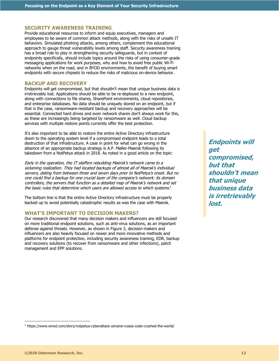### **SECURITY AWARENESS TRAINING**

Provide educational resources to inform and equip executives, managers and employees to be aware of common attack methods, along with the risks of unsafe IT behaviors. Simulated phishing attacks, among others, complement this educational approach to gauge threat vulnerability levels among staff. Security awareness training has a broad role to play in strengthening security safeguards, but in context of endpoints specifically, should include topics around the risks of using consumer-grade messaging applications for work purposes, why and how to avoid free public Wi-Fi networks when on the road, and in BYOD environments, the benefit of buying smart endpoints with secure chipsets to reduce the risks of malicious on-device behavior.

# **BACKUP AND RECOVERY**

Endpoints will get compromised, but that shouldn't mean that unique business data is irretrievably lost. Applications should be able to be re-deployed to a new endpoint, along with connections to file shares, SharePoint environments, cloud repositories, and enterprise databases. No data should be uniquely stored on an endpoint, but if that is the case, ransomware-resistant backup and recovery approaches will be essential. Connected hard drives and even network shares don't always work for this, as these are increasingly being targeted by ransomware as well. Cloud backup services with multiple restore points currently offer the best protection.

It's also important to be able to restore the entire Active Directory infrastructure down to the operating system level if a compromised endpoint leads to a total destruction of that infrastructure. A case in point for what can go wrong in the absence of an appropriate backup strategy is A.P. Møller-Maersk following its takedown from a NotPetya attack in 2018. As noted in a good article on the topic:

Early in the operation, the IT staffers rebuilding Maersk's network came to a sickening realization. They had located backups of almost all of Maersk's individual servers, dating from between three and seven days prior to NotPetya's onset. But no one could find a backup for one crucial layer of the company's network: its domain controllers, the servers that function as a detailed map of Maersk's network and set the basic rules that determine which users are allowed access to which systems. $1$ 

The bottom line is that the entire Active Directory infrastructure must be properly backed up to avoid potentially catastrophic results as was the case with Maersk.

# **WHAT'S IMPORTANT TO DECISION MAKERS?**

Our research discovered that many decision makers and influencers are still focused on more traditional endpoint solutions, such as anti-virus solutions, as an important defense against threats. However, as shown in Figure 3, decision-makers and influencers are also heavily focused on newer and more innovative methods and platforms for endpoint protection, including security awareness training, EDR, backup and recovery solutions (to recover from ransomware and other infections), patch management and EPP solutions.

**Endpoints will get compromised, but that shouldn't mean that unique business data is irretrievably lost.**

<sup>1</sup> https://www.wired.com/story/notpetya-cyberattack-ukraine-russia-code-crashed-the-world/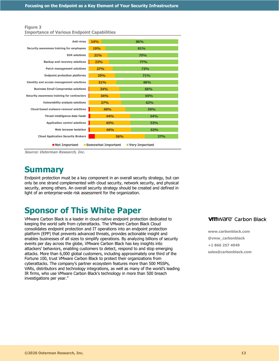| <b>Importance of Various Endpoint Capabilities</b>          |                          |            |  |  |
|-------------------------------------------------------------|--------------------------|------------|--|--|
| <b>Anti-virus</b>                                           | <b>14%</b><br>86%        |            |  |  |
| Security awareness training for employees                   | <b>19%</b><br>81%        |            |  |  |
| <b>EDR</b> solutions                                        | <b>21%</b>               | 79%        |  |  |
| <b>Backup and recovery solutions</b>                        | <b>22%</b><br><b>77%</b> |            |  |  |
| <b>Patch management solutions</b>                           | <b>27%</b>               | <b>73%</b> |  |  |
| <b>Endpoint protection platforms</b>                        | 29%                      | 71%        |  |  |
| <b>Identity and access management solutions</b>             | 31%                      | 69%        |  |  |
| <b>Business Email Compromise solutions</b>                  | <b>34%</b>               | 66%        |  |  |
| Security awareness training for contractors                 | 34%                      | 65%        |  |  |
| <b>Vulnerability analysis solutions</b>                     | <b>37%</b>               | 63%        |  |  |
| <b>Cloud-based malware removal solutions</b>                | 40%                      | <b>59%</b> |  |  |
| Threat intelligence data feeds                              | 44%<br><b>54%</b>        |            |  |  |
| <b>Application control solutions</b>                        | 45%                      | 53%        |  |  |
| Web browser isolation                                       | 46%                      | 53%        |  |  |
| <b>Cloud Application Security Brokers</b>                   | <b>56%</b>               | <b>37%</b> |  |  |
| ■ Not Important<br>■ Somewhat Important<br>■ Very Important |                          |            |  |  |

**Source: Osterman Research, Inc.**

# **Summary**

**Figure 3**

Endpoint protection must be a key component in an overall security strategy, but can only be one strand complemented with cloud security, network security, and physical security, among others. An overall security strategy should be created and defined in light of an enterprise-wide risk assessment for the organization.

# **Sponsor of This White Paper**

VMware Carbon Black is a leader in cloud-native endpoint protection dedicated to keeping the world safe from cyberattacks. The VMware Carbon Black Cloud consolidates endpoint protection and IT operations into an endpoint protection platform (EPP) that prevents advanced threats, provides actionable insight and enables businesses of all sizes to simplify operations. By analyzing billions of security events per day across the globe, VMware Carbon Black has key insights into attackers' behaviors, enabling customers to detect, respond to and stop emerging attacks. More than 6,000 global customers, including approximately one third of the Fortune 100, trust VMware Carbon Black to protect their organizations from cyberattacks. The company's partner ecosystem features more than 500 MSSPs, VARs, distributors and technology integrations, as well as many of the world's leading IR firms, who use VMware Carbon Black's technology in more than 500 breach investigations per year."

# **VM**Ware<sup>®</sup> Carbon Black

**www.carbonblack.com @vmw\_carbonblack +1 866 257 4949 sales@carbonblack.com**